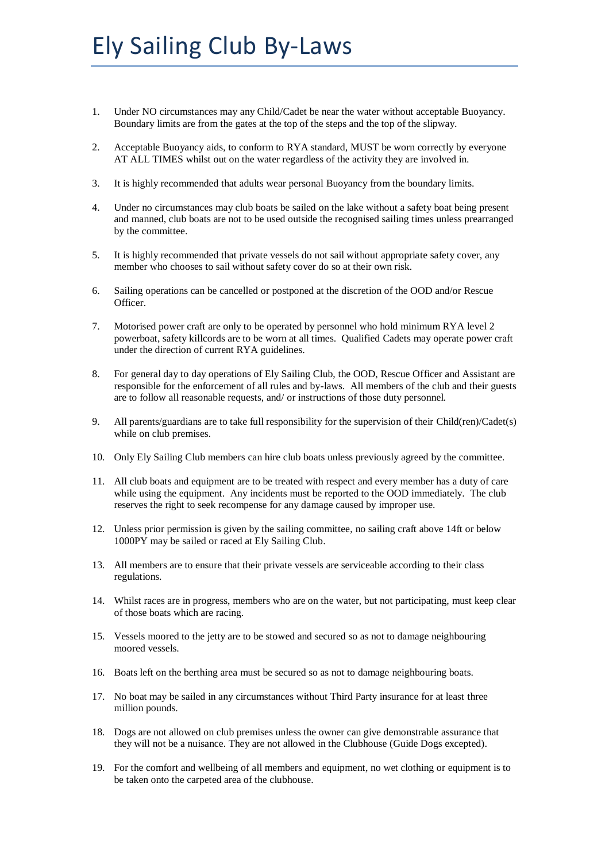- 1. Under NO circumstances may any Child/Cadet be near the water without acceptable Buoyancy. Boundary limits are from the gates at the top of the steps and the top of the slipway.
- 2. Acceptable Buoyancy aids, to conform to RYA standard, MUST be worn correctly by everyone AT ALL TIMES whilst out on the water regardless of the activity they are involved in.
- 3. It is highly recommended that adults wear personal Buoyancy from the boundary limits.
- 4. Under no circumstances may club boats be sailed on the lake without a safety boat being present and manned, club boats are not to be used outside the recognised sailing times unless prearranged by the committee.
- 5. It is highly recommended that private vessels do not sail without appropriate safety cover, any member who chooses to sail without safety cover do so at their own risk.
- 6. Sailing operations can be cancelled or postponed at the discretion of the OOD and/or Rescue Officer.
- 7. Motorised power craft are only to be operated by personnel who hold minimum RYA level 2 powerboat, safety killcords are to be worn at all times. Qualified Cadets may operate power craft under the direction of current RYA guidelines.
- 8. For general day to day operations of Ely Sailing Club, the OOD, Rescue Officer and Assistant are responsible for the enforcement of all rules and by-laws. All members of the club and their guests are to follow all reasonable requests, and/ or instructions of those duty personnel.
- 9. All parents/guardians are to take full responsibility for the supervision of their Child(ren)/Cadet(s) while on club premises.
- 10. Only Ely Sailing Club members can hire club boats unless previously agreed by the committee.
- 11. All club boats and equipment are to be treated with respect and every member has a duty of care while using the equipment. Any incidents must be reported to the OOD immediately. The club reserves the right to seek recompense for any damage caused by improper use.
- 12. Unless prior permission is given by the sailing committee, no sailing craft above 14ft or below 1000PY may be sailed or raced at Ely Sailing Club.
- 13. All members are to ensure that their private vessels are serviceable according to their class regulations.
- 14. Whilst races are in progress, members who are on the water, but not participating, must keep clear of those boats which are racing.
- 15. Vessels moored to the jetty are to be stowed and secured so as not to damage neighbouring moored vessels.
- 16. Boats left on the berthing area must be secured so as not to damage neighbouring boats.
- 17. No boat may be sailed in any circumstances without Third Party insurance for at least three million pounds.
- 18. Dogs are not allowed on club premises unless the owner can give demonstrable assurance that they will not be a nuisance. They are not allowed in the Clubhouse (Guide Dogs excepted).
- 19. For the comfort and wellbeing of all members and equipment, no wet clothing or equipment is to be taken onto the carpeted area of the clubhouse.